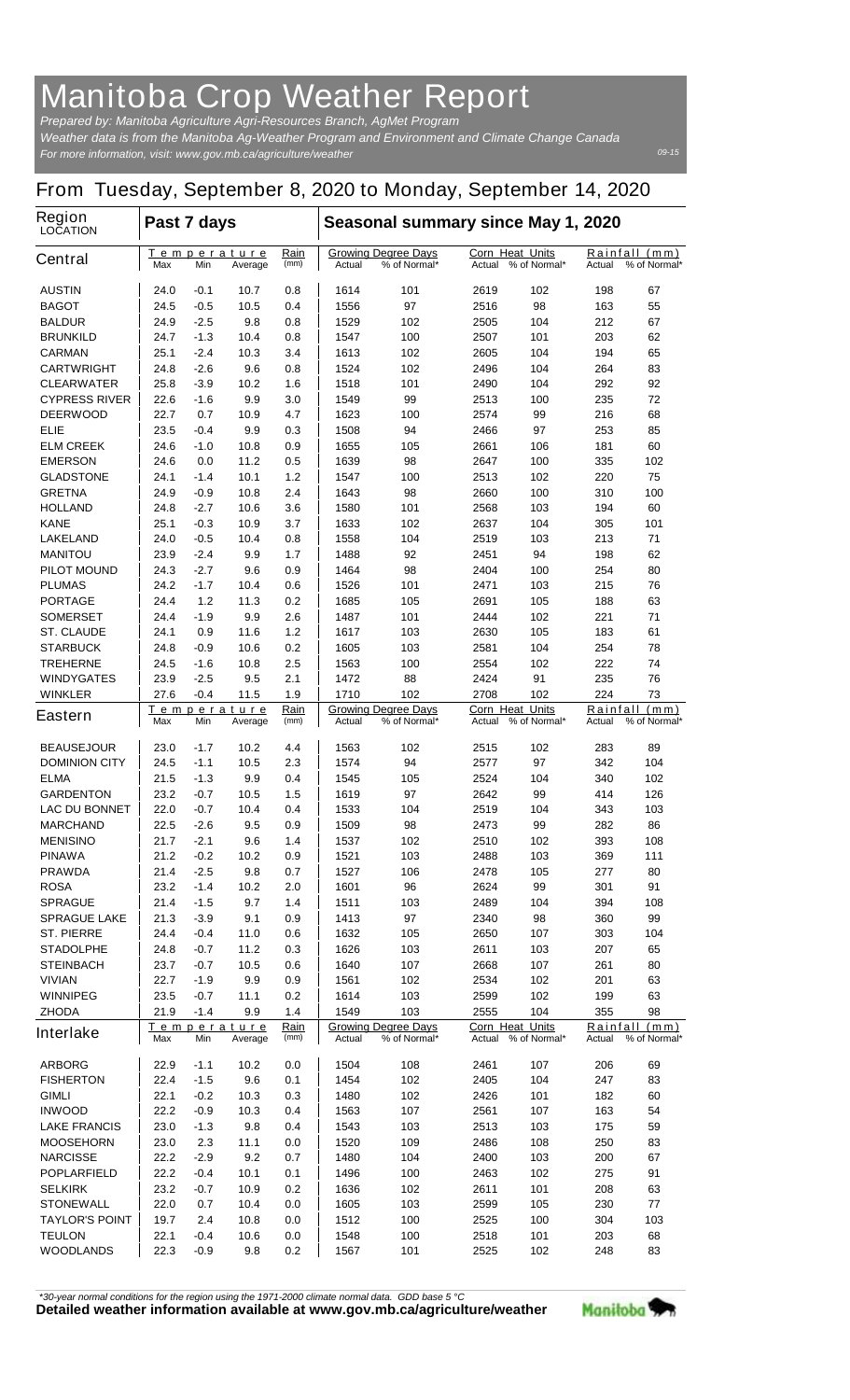## **Manitoba Crop Weather Report**

*For more information, visit: www.gov.mb.ca/agriculture/weather Prepared by: Manitoba Agriculture Agri-Resources Branch, AgMet Program Weather data is from the Manitoba Ag-Weather Program and Environment and Climate Change Canada*

## **From Tuesday, September 8, 2020 to Monday, September 14, 2020**

| Region<br><b>LOCATION</b>                | Past 7 days                                          |              |                     |                                                      | Seasonal summary since May 1, 2020 |                                           |                        |                                            |            |              |  |
|------------------------------------------|------------------------------------------------------|--------------|---------------------|------------------------------------------------------|------------------------------------|-------------------------------------------|------------------------|--------------------------------------------|------------|--------------|--|
| <b>Central</b>                           | <u>Temperature</u><br>Max<br>Min<br>Average          |              | <u>Rain</u><br>(mm) | <b>Growing Degree Days</b><br>Actual<br>% of Normal* |                                    | Corn Heat Units<br>% of Normal*<br>Actual |                        | Rainfall<br>(mm)<br>% of Normal*<br>Actual |            |              |  |
| <b>AUSTIN</b>                            | 24.0                                                 | -0.1         | 10.7                | 0.8                                                  | 1614                               | 101                                       | 2619                   | 102                                        | 198        | 67           |  |
| <b>BAGOT</b>                             | 24.5                                                 | $-0.5$       | 10.5                | 0.4                                                  | 1556                               | 97                                        | 2516                   | 98                                         | 163        | 55           |  |
| <b>BALDUR</b>                            | 24.9                                                 | -2.5         | 9.8                 | 0.8                                                  | 1529                               | 102                                       | 2505                   | 104                                        | 212        | 67           |  |
| <b>BRUNKILD</b>                          | 24.7                                                 | -1.3         | 10.4                | 0.8                                                  | 1547                               | 100                                       | 2507                   | 101                                        | 203        | 62           |  |
| <b>CARMAN</b>                            | 25.1                                                 | $-2.4$       | 10.3                | 3.4                                                  | 1613                               | 102                                       | 2605                   | 104                                        | 194        | 65           |  |
| <b>CARTWRIGHT</b>                        | 24.8                                                 | -2.6         | 9.6                 | 0.8                                                  | 1524                               | 102                                       | 2496                   | 104                                        | 264        | 83           |  |
| <b>CLEARWATER</b>                        | 25.8                                                 | $-3.9$       | 10.2                | 1.6                                                  | 1518                               | 101                                       | 2490                   | 104                                        | 292        | 92           |  |
| <b>CYPRESS RIVER</b>                     | 22.6                                                 | $-1.6$       | 9.9                 | 3.0                                                  | 1549                               | 99                                        | 2513                   | 100                                        | 235        | 72           |  |
| <b>DEERWOOD</b><br>ELIE                  | 22.7<br>23.5                                         | 0.7<br>-0.4  | 10.9<br>9.9         | 4.7<br>0.3                                           | 1623<br>1508                       | 100<br>94                                 | 2574<br>2466           | 99<br>97                                   | 216<br>253 | 68<br>85     |  |
| <b>ELM CREEK</b>                         | 24.6                                                 | -1.0         | 10.8                | 0.9                                                  | 1655                               | 105                                       | 2661                   | 106                                        | 181        | 60           |  |
| <b>EMERSON</b>                           | 24.6                                                 | 0.0          | 11.2                | 0.5                                                  | 1639                               | 98                                        | 2647                   | 100                                        | 335        | 102          |  |
| <b>GLADSTONE</b>                         | 24.1                                                 | $-1.4$       | 10.1                | 1.2                                                  | 1547                               | 100                                       | 2513                   | 102                                        | 220        | 75           |  |
| <b>GRETNA</b>                            | 24.9                                                 | -0.9         | 10.8                | 2.4                                                  | 1643                               | 98                                        | 2660                   | 100                                        | 310        | 100          |  |
| <b>HOLLAND</b>                           | 24.8                                                 | $-2.7$       | 10.6                | 3.6                                                  | 1580                               | 101                                       | 2568                   | 103                                        | 194        | 60           |  |
| <b>KANE</b>                              | 25.1                                                 | $-0.3$       | 10.9                | 3.7                                                  | 1633                               | 102                                       | 2637                   | 104                                        | 305        | 101          |  |
| <b>LAKELAND</b>                          | 24.0                                                 | -0.5         | 10.4                | 0.8                                                  | 1558                               | 104                                       | 2519                   | 103                                        | 213        | 71           |  |
| <b>MANITOU</b>                           | 23.9                                                 | $-2.4$       | 9.9                 | 1.7                                                  | 1488                               | 92                                        | 2451                   | 94                                         | 198        | 62           |  |
| <b>PILOT MOUND</b>                       | 24.3                                                 | $-2.7$       | 9.6                 | 0.9                                                  | 1464                               | 98                                        | 2404                   | 100                                        | 254        | 80           |  |
| <b>PLUMAS</b>                            | 24.2                                                 | $-1.7$       | 10.4                | 0.6                                                  | 1526                               | 101                                       | 2471                   | 103                                        | 215        | 76           |  |
| <b>PORTAGE</b>                           | 24.4                                                 | 1.2          | 11.3                | 0.2                                                  | 1685                               | 105                                       | 2691                   | 105                                        | 188        | 63           |  |
| <b>SOMERSET</b>                          | 24.4                                                 | -1.9         | 9.9                 | 2.6                                                  | 1487                               | 101                                       | 2444                   | 102                                        | 221        | 71           |  |
| <b>ST. CLAUDE</b>                        | 24.1                                                 | 0.9          | 11.6                | 1.2                                                  | 1617                               | 103                                       | 2630                   | 105                                        | 183        | 61           |  |
| <b>STARBUCK</b>                          | 24.8                                                 | $-0.9$       | 10.6                | 0.2<br>2.5                                           | 1605<br>1563                       | 103                                       | 2581<br>2554           | 104                                        | 254<br>222 | 78           |  |
| <b>TREHERNE</b><br><b>WINDYGATES</b>     | 24.5<br>23.9                                         | -1.6<br>-2.5 | 10.8<br>9.5         | 2.1                                                  | 1472                               | 100<br>88                                 | 2424                   | 102<br>91                                  | 235        | 74<br>76     |  |
| <b>WINKLER</b>                           | 27.6                                                 | $-0.4$       | 11.5                | 1.9                                                  | 1710                               | 102                                       | 2708                   | 102                                        | 224        | 73           |  |
|                                          |                                                      |              | Temperature         | Rain                                                 |                                    | <b>Growing Degree Days</b>                | <b>Corn Heat Units</b> |                                            | Rainfall   | (mm)         |  |
| <b>Eastern</b>                           | Max                                                  | Min          | Average             | (mm)                                                 | Actual                             | % of Normal*                              | Actual                 | % of Normal*                               | Actual     | % of Normal* |  |
| <b>BEAUSEJOUR</b>                        | 23.0                                                 | $-1.7$       | 10.2                | 4.4                                                  | 1563                               | 102                                       | 2515                   | 102                                        | 283        | 89           |  |
| <b>DOMINION CITY</b>                     | 24.5                                                 | $-1.1$       | 10.5                | 2.3                                                  | 1574                               | 94                                        | 2577                   | 97                                         | 342        | 104          |  |
| <b>ELMA</b>                              | 21.5                                                 | $-1.3$       | 9.9                 | 0.4                                                  | 1545                               | 105                                       | 2524                   | 104                                        | 340        | 102          |  |
| <b>GARDENTON</b><br><b>LAC DU BONNET</b> | 23.2                                                 | -0.7         | 10.5                | 1.5                                                  | 1619                               | 97                                        | 2642                   | 99                                         | 414        | 126          |  |
| <b>MARCHAND</b>                          | 22.0<br>22.5                                         | -0.7<br>-2.6 | 10.4<br>9.5         | 0.4<br>0.9                                           | 1533<br>1509                       | 104<br>98                                 | 2519<br>2473           | 104<br>99                                  | 343<br>282 | 103<br>86    |  |
| <b>MENISINO</b>                          | 21.7                                                 | $-2.1$       | 9.6                 | 1.4                                                  | 1537                               | 102                                       | 2510                   | 102                                        | 393        | 108          |  |
| <b>PINAWA</b>                            | 21.2                                                 | $-0.2$       | 10.2                | 0.9                                                  | 1521                               | 103                                       | 2488                   | 103                                        | 369        | 111          |  |
| <b>PRAWDA</b>                            | 21.4                                                 | -2.5         | 9.8                 | 0.7                                                  | 1527                               | 106                                       | 2478                   | 105                                        | 277        | 80           |  |
| <b>ROSA</b>                              | 23.2                                                 | $-1.4$       | 10.2                | 2.0                                                  | 1601                               | 96                                        | 2624                   | 99                                         | 301        | 91           |  |
| <b>SPRAGUE</b>                           | 21.4                                                 | $-1.5$       | 9.7                 | 1.4                                                  | 1511                               | 103                                       | 2489                   | 104                                        | 394        | 108          |  |
| <b>SPRAGUE LAKE</b>                      | 21.3                                                 | $-3.9$       | 9.1                 | 0.9                                                  | 1413                               | 97                                        | 2340                   | 98                                         | 360        | 99           |  |
| <b>ST. PIERRE</b>                        | 24.4                                                 | -0.4         | 11.0                | 0.6                                                  | 1632                               | 105                                       | 2650                   | 107                                        | 303        | 104          |  |
| <b>STADOLPHE</b>                         | 24.8                                                 | -0.7         | 11.2                | 0.3                                                  | 1626                               | 103                                       | 2611                   | 103                                        | 207        | 65           |  |
| <b>STEINBACH</b>                         | 23.7                                                 | -0.7         | 10.5                | 0.6                                                  | 1640                               | 107                                       | 2668                   | 107                                        | 261        | 80           |  |
| <b>VIVIAN</b>                            | 22.7                                                 | $-1.9$       | 9.9                 | 0.9                                                  | 1561                               | 102                                       | 2534                   | 102                                        | 201        | 63           |  |
| <b>WINNIPEG</b>                          | 23.5                                                 | -0.7         | 11.1                | 0.2                                                  | 1614                               | 103                                       | 2599                   | 102                                        | 199        | 63           |  |
| <b>ZHODA</b>                             | 21.9                                                 | $-1.4$       | 9.9                 | 1.4                                                  | 1549                               | 103                                       | 2555                   | 104                                        | 355        | 98           |  |
| <b>Interlake</b>                         | Temperature<br>Rain<br>Max<br>Min<br>Average<br>(mm) |              |                     | <b>Growing Degree Days</b><br>% of Normal*<br>Actual |                                    | Corn Heat Units<br>% of Normal*<br>Actual |                        | Rainfall<br>(mm)<br>% of Normal*<br>Actual |            |              |  |
| <b>ARBORG</b>                            | 22.9                                                 | $-1.1$       | 10.2                | 0.0                                                  | 1504                               | 108                                       | 2461                   | 107                                        | 206        | 69           |  |
| <b>FISHERTON</b>                         | 22.4                                                 | $-1.5$       | 9.6                 | 0.1                                                  | 1454                               | 102                                       | 2405                   | 104                                        | 247        | 83           |  |
| <b>GIMLI</b>                             | 22.1                                                 | $-0.2$       | 10.3                | 0.3                                                  | 1480                               | 102                                       | 2426                   | 101                                        | 182        | 60           |  |
| <b>INWOOD</b>                            | 22.2                                                 | -0.9         | 10.3                | 0.4                                                  | 1563                               | 107                                       | 2561                   | 107                                        | 163        | 54           |  |
| <b>LAKE FRANCIS</b>                      | 23.0                                                 | $-1.3$       | 9.8                 | 0.4                                                  | 1543                               | 103                                       | 2513                   | 103                                        | 175        | 59           |  |
| <b>MOOSEHORN</b>                         | 23.0                                                 | 2.3          | 11.1                | 0.0                                                  | 1520                               | 109                                       | 2486                   | 108                                        | 250        | 83           |  |
| <b>NARCISSE</b>                          | 22.2                                                 | $-2.9$       | 9.2                 | 0.7                                                  | 1480                               | 104                                       | 2400                   | 103                                        | 200        | 67           |  |
| <b>POPLARFIELD</b>                       | 22.2                                                 | $-0.4$       | 10.1                | 0.1                                                  | 1496                               | 100                                       | 2463                   | 102                                        | 275        | 91           |  |
| <b>SELKIRK</b>                           | 23.2                                                 | -0.7         | 10.9                | 0.2                                                  | 1636                               | 102                                       | 2611                   | 101                                        | 208        | 63           |  |
| <b>STONEWALL</b>                         | 22.0                                                 | 0.7          | 10.4                | 0.0                                                  | 1605                               | 103                                       | 2599                   | 105                                        | 230        | 77           |  |
| <b>TAYLOR'S POINT</b>                    | 19.7                                                 | 2.4          | 10.8                | 0.0                                                  | 1512                               | 100                                       | 2525                   | 100                                        | 304        | 103          |  |
| <b>TEULON</b><br><b>WOODLANDS</b>        | 22.1<br>22.3                                         | -0.4<br>-0.9 | 10.6<br>9.8         | 0.0<br>0.2                                           | 1548<br>1567                       | 100<br>101                                | 2518<br>2525           | 101<br>102                                 | 203<br>248 | 68<br>83     |  |
|                                          |                                                      |              |                     |                                                      |                                    |                                           |                        |                                            |            |              |  |

*\*30-year normal conditions for the region using the 1971-2000 climate normal data. GDD base 5 °C*<br>Detailed weather information available at www.gov.mb.ca/agriculture/weather